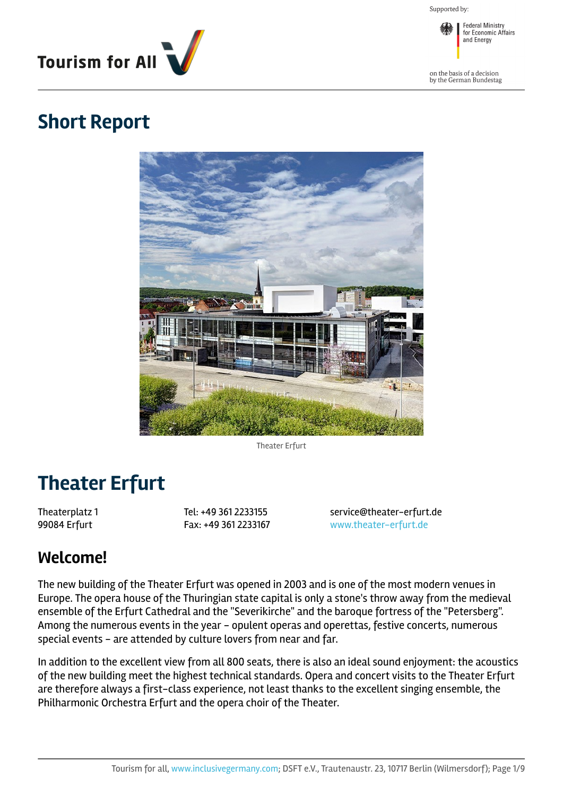Supported by:



**Federal Ministry<br>for Economic Affairs** and Energy

on the basis of a decision<br>by the German Bundestag

### **Short Report**



Theater Erfurt

# **Theater Erfurt**

Theaterplatz 1 99084 Erfurt

Tel: +49 361 2233155 Fax: +49 361 2233167 service@theater-erfurt.de <www.theater-erfurt.de>

### **Welcome!**

The new building of the Theater Erfurt was opened in 2003 and is one of the most modern venues in Europe. The opera house of the Thuringian state capital is only a stone's throw away from the medieval ensemble of the Erfurt Cathedral and the "Severikirche" and the baroque fortress of the "Petersberg". Among the numerous events in the year - opulent operas and operettas, festive concerts, numerous special events - are attended by culture lovers from near and far.

In addition to the excellent view from all 800 seats, there is also an ideal sound enjoyment: the acoustics of the new building meet the highest technical standards. Opera and concert visits to the Theater Erfurt are therefore always a first-class experience, not least thanks to the excellent singing ensemble, the Philharmonic Orchestra Erfurt and the opera choir of the Theater.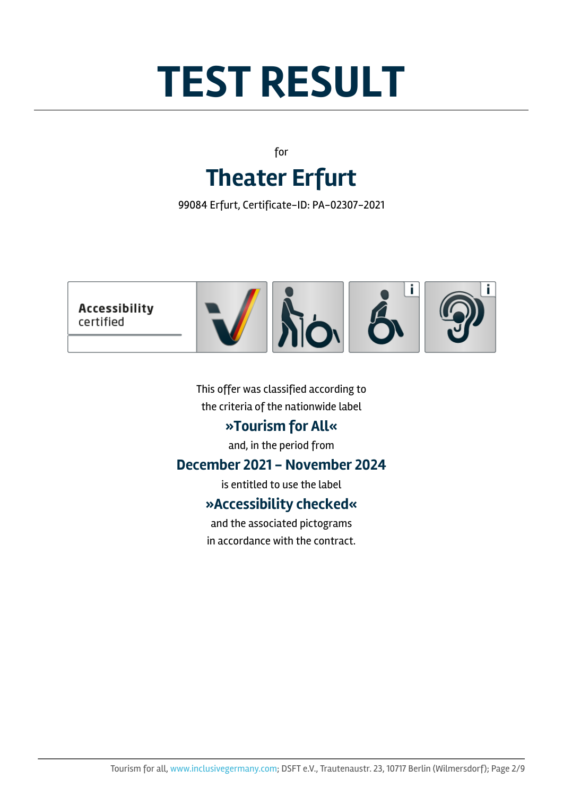# **TEST RESULT**

for **Theater Erfurt**

99084 Erfurt, Certificate-ID: PA-02307-2021



This offer was classified according to the criteria of the nationwide label

### **»Tourism for All«**

and, in the period from

#### **December 2021 - November 2024**

is entitled to use the label

### **»Accessibility checked«**

and the associated pictograms in accordance with the contract.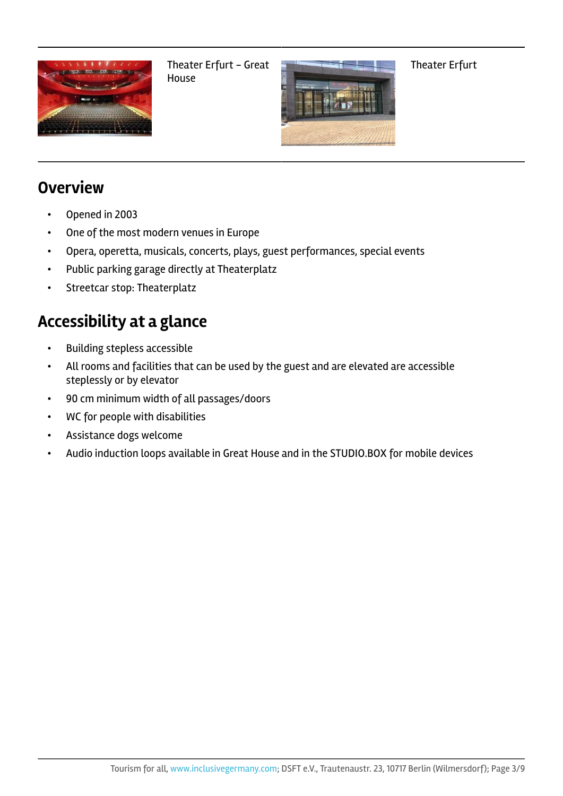

Theater Erfurt - Great House



Theater Erfurt

### **Overview**

- Opened in 2003
- One of the most modern venues in Europe
- Opera, operetta, musicals, concerts, plays, guest performances, special events
- Public parking garage directly at Theaterplatz
- Streetcar stop: Theaterplatz

### **Accessibility at a glance**

- Building stepless accessible
- All rooms and facilities that can be used by the guest and are elevated are accessible steplessly or by elevator
- 90 cm minimum width of all passages/doors
- WC for people with disabilities
- Assistance dogs welcome
- Audio induction loops available in Great House and in the STUDIO.BOX for mobile devices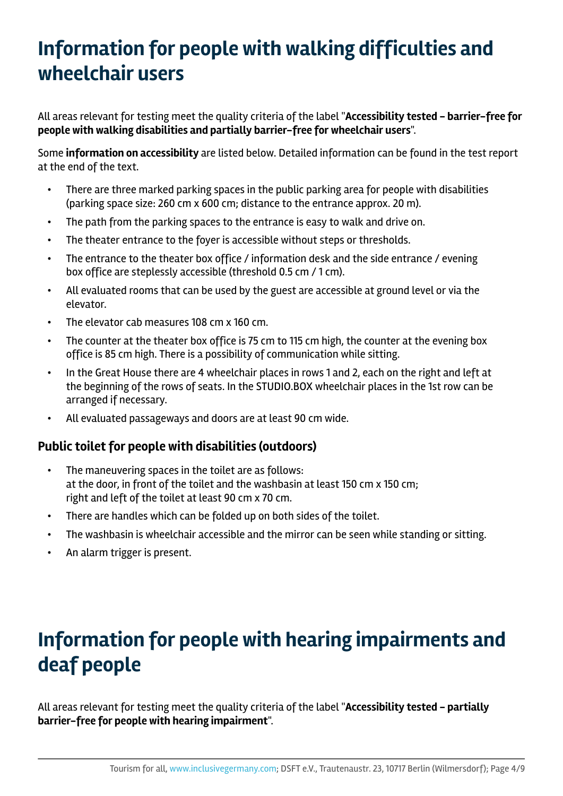# **Information for people with walking difficulties and wheelchair users**

All areas relevant for testing meet the quality criteria of the label "**Accessibility tested - barrier-free for people with walking disabilities and partially barrier-free for wheelchair users**".

Some **information on accessibility** are listed below. Detailed information can be found in the test report at the end of the text.

- There are three marked parking spaces in the public parking area for people with disabilities (parking space size: 260 cm x 600 cm; distance to the entrance approx. 20 m).
- The path from the parking spaces to the entrance is easy to walk and drive on.
- The theater entrance to the foyer is accessible without steps or thresholds.
- The entrance to the theater box office / information desk and the side entrance / evening box office are steplessly accessible (threshold 0.5 cm / 1 cm).
- All evaluated rooms that can be used by the guest are accessible at ground level or via the elevator.
- The elevator cab measures 108 cm x 160 cm.
- The counter at the theater box office is 75 cm to 115 cm high, the counter at the evening box office is 85 cm high. There is a possibility of communication while sitting.
- In the Great House there are 4 wheelchair places in rows 1 and 2, each on the right and left at the beginning of the rows of seats. In the STUDIO.BOX wheelchair places in the 1st row can be arranged if necessary.
- All evaluated passageways and doors are at least 90 cm wide.

#### **Public toilet for people with disabilities (outdoors)**

- The maneuvering spaces in the toilet are as follows: at the door, in front of the toilet and the washbasin at least 150 cm x 150 cm; right and left of the toilet at least 90 cm x 70 cm.
- There are handles which can be folded up on both sides of the toilet.
- The washbasin is wheelchair accessible and the mirror can be seen while standing or sitting.
- An alarm trigger is present.

# **Information for people with hearing impairments and deaf people**

All areas relevant for testing meet the quality criteria of the label "**Accessibility tested - partially barrier-free for people with hearing impairment**".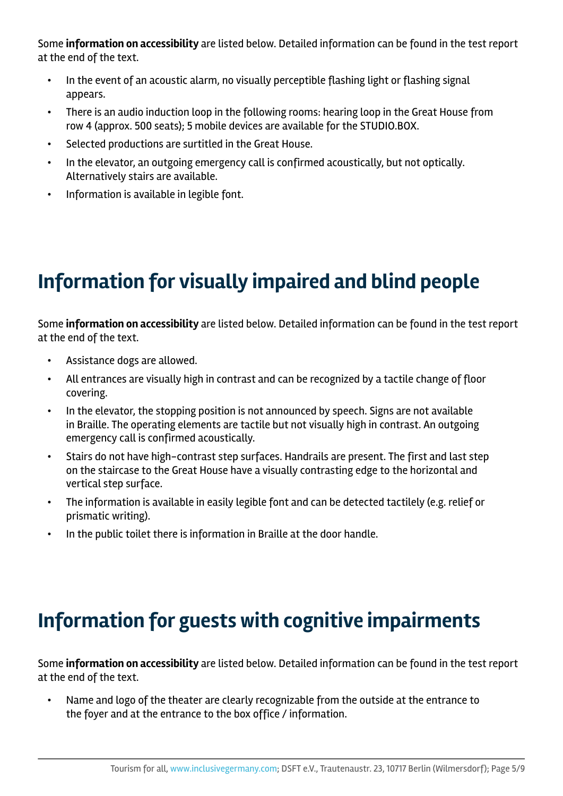Some **information on accessibility** are listed below. Detailed information can be found in the test report at the end of the text.

- In the event of an acoustic alarm, no visually perceptible flashing light or flashing signal appears.
- There is an audio induction loop in the following rooms: hearing loop in the Great House from row 4 (approx. 500 seats); 5 mobile devices are available for the STUDIO.BOX.
- Selected productions are surtitled in the Great House.
- In the elevator, an outgoing emergency call is confirmed acoustically, but not optically. Alternatively stairs are available.
- Information is available in legible font.

# **Information for visually impaired and blind people**

Some **information on accessibility** are listed below. Detailed information can be found in the test report at the end of the text.

- Assistance dogs are allowed.
- All entrances are visually high in contrast and can be recognized by a tactile change of floor covering.
- In the elevator, the stopping position is not announced by speech. Signs are not available in Braille. The operating elements are tactile but not visually high in contrast. An outgoing emergency call is confirmed acoustically.
- Stairs do not have high-contrast step surfaces. Handrails are present. The first and last step on the staircase to the Great House have a visually contrasting edge to the horizontal and vertical step surface.
- The information is available in easily legible font and can be detected tactilely (e.g. relief or prismatic writing).
- In the public toilet there is information in Braille at the door handle.

# **Information for guests with cognitive impairments**

Some **information on accessibility** are listed below. Detailed information can be found in the test report at the end of the text.

• Name and logo of the theater are clearly recognizable from the outside at the entrance to the foyer and at the entrance to the box office / information.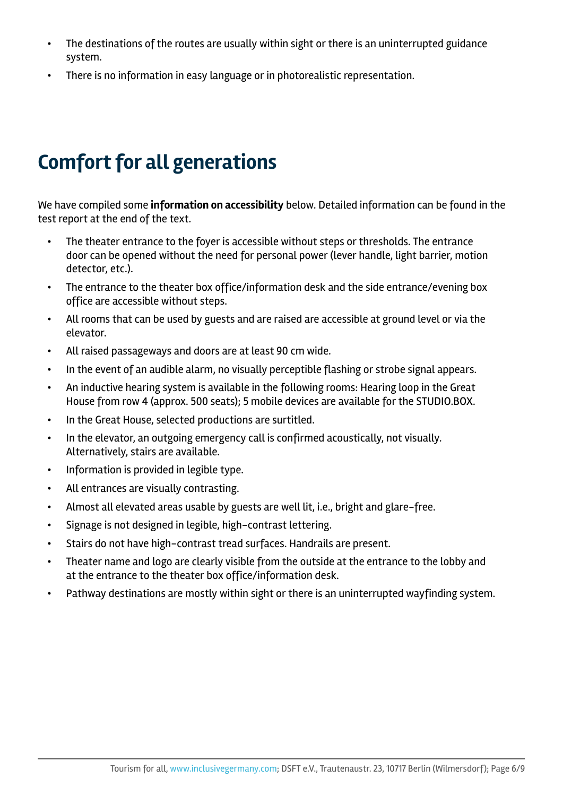- The destinations of the routes are usually within sight or there is an uninterrupted guidance system.
- There is no information in easy language or in photorealistic representation.

# **Comfort for all generations**

We have compiled some **information on accessibility** below. Detailed information can be found in the test report at the end of the text.

- The theater entrance to the foyer is accessible without steps or thresholds. The entrance door can be opened without the need for personal power (lever handle, light barrier, motion detector, etc.).
- The entrance to the theater box office/information desk and the side entrance/evening box office are accessible without steps.
- All rooms that can be used by guests and are raised are accessible at ground level or via the elevator.
- All raised passageways and doors are at least 90 cm wide.
- In the event of an audible alarm, no visually perceptible flashing or strobe signal appears.
- An inductive hearing system is available in the following rooms: Hearing loop in the Great House from row 4 (approx. 500 seats); 5 mobile devices are available for the STUDIO.BOX.
- In the Great House, selected productions are surtitled.
- In the elevator, an outgoing emergency call is confirmed acoustically, not visually. Alternatively, stairs are available.
- Information is provided in legible type.
- All entrances are visually contrasting.
- Almost all elevated areas usable by guests are well lit, i.e., bright and glare-free.
- Signage is not designed in legible, high-contrast lettering.
- Stairs do not have high-contrast tread surfaces. Handrails are present.
- Theater name and logo are clearly visible from the outside at the entrance to the lobby and at the entrance to the theater box office/information desk.
- Pathway destinations are mostly within sight or there is an uninterrupted wayfinding system.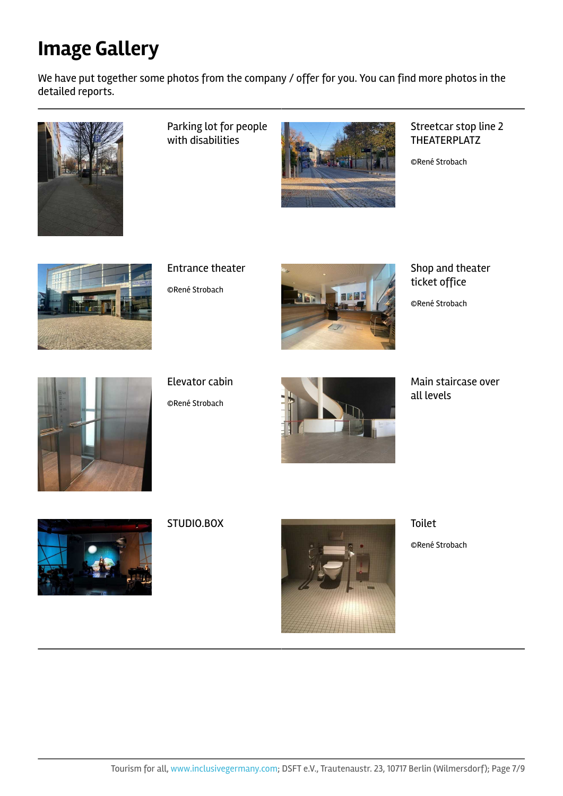# **Image Gallery**

We have put together some photos from the company / offer for you. You can find more photos in the detailed reports.



Parking lot for people with disabilities



Streetcar stop line 2 THEATERPLATZ

©René Strobach



Entrance theater ©René Strobach



Shop and theater ticket office

©René Strobach



Elevator cabin

©René Strobach



Main staircase over all levels





©René Strobach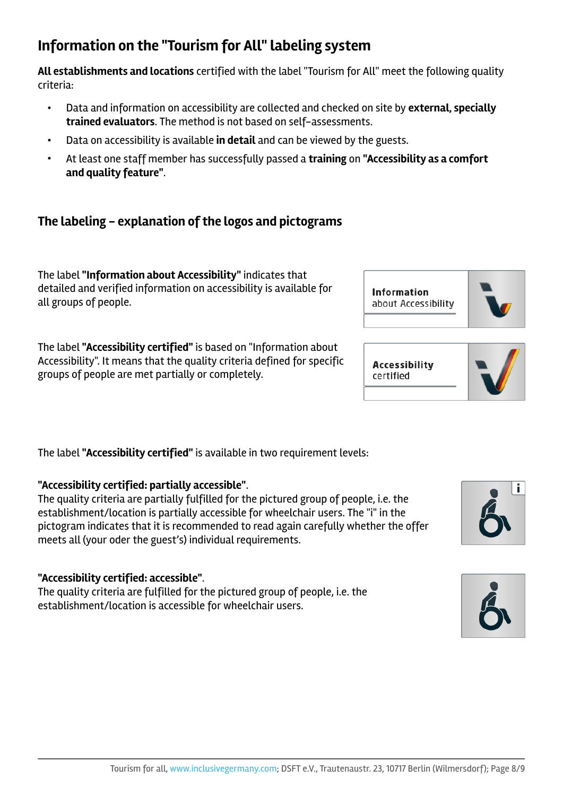### **Information on the "Tourism for All"labeling system**

**All establishments and locations** certified with the label "Tourism for All" meet the following quality criteria:

- Data and information on accessibility are collected and checked on site by **external, specially trained evaluators**. The method is not based on self-assessments.
- Data on accessibility is available **in detail** and can be viewed by the guests.
- At least one staff member has successfully passed a **training** on **"Accessibility as a comfort and quality feature"**.

### **The labeling - explanation of the logos and pictograms**

The label **"Information about Accessibility"** indicates that detailed and verified information on accessibility is available for all groups of people.

The label **"Accessibility certified"** is based on "Information about Accessibility". It means that the quality criteria defined for specific groups of people are met partially or completely.

The label **"Accessibility certified"** is available in two requirement levels:

#### **"Accessibility certified: partially accessible"**.

The quality criteria are partially fulfilled for the pictured group of people, i.e. the establishment/location is partially accessible for wheelchair users. The "i" in the pictogram indicates that it is recommended to read again carefully whether the offer meets all (your oder the guest's) individual requirements.

#### **"Accessibility certified: accessible"**.

The quality criteria are fulfilled for the pictured group of people, i.e. the establishment/location is accessible for wheelchair users.



**Accessibility** certified